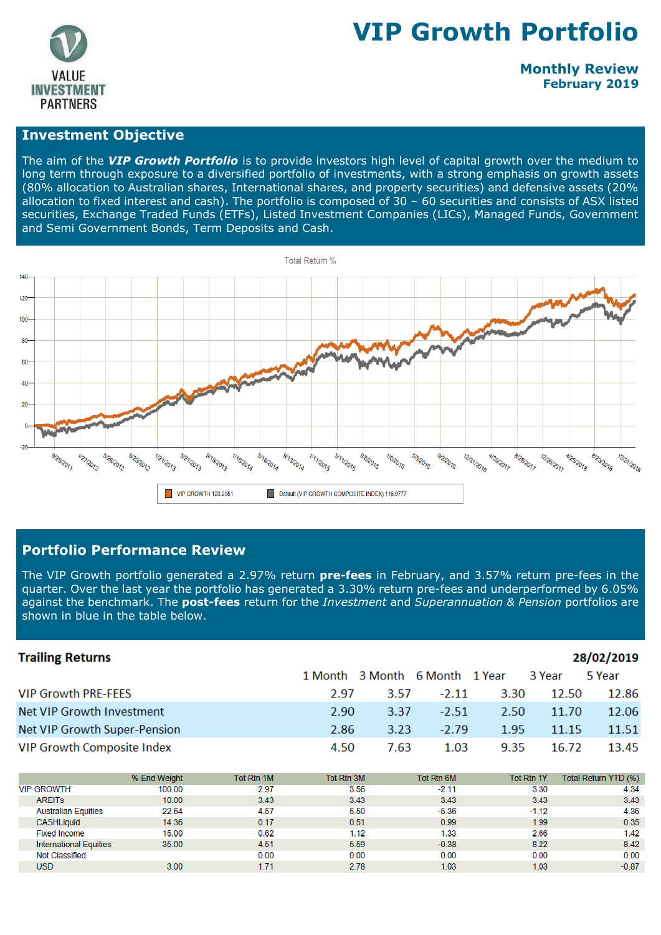

# **VIP Growth Portfolio**

# **Monthly Review February 2019**

#### **Investment Objective**

The aim of the *VIP Growth Portfolio* is to provide investors high level of capital growth over the medium to long term through exposure to a diversified portfolio of investments, with a strong emphasis on growth assets (80% allocation to Australian shares, International shares, and property securities) and defensive assets (20% allocation to fixed interest and cash). The portfolio is composed of 30 – 60 securities and consists of ASX listed securities, Exchange Traded Funds (ETFs), Listed Investment Companies (LICs), Managed Funds, Government and Semi Government Bonds, Term Deposits and Cash.



#### **Portfolio Performance Review**

The VIP Growth portfolio generated a 2.97% return **pre-fees** in February, and 3.57% return pre-fees in the quarter. Over the last year the portfolio has generated a 3.30% return pre-fees and underperformed by 6.05% against the benchmark. The **post-fees** return for the *Investment* and *Superannuation & Pension* portfolios are shown in blue in the table below.

| <b>Trailing Returns</b>           |              |            |            |      |                        |            |         | 28/02/2019           |
|-----------------------------------|--------------|------------|------------|------|------------------------|------------|---------|----------------------|
|                                   |              |            | 1 Month    |      | 3 Month 6 Month 1 Year |            | 3 Year  | 5 Year               |
| <b>VIP Growth PRE-FEES</b>        |              |            | 2.97       | 3.57 | $-2.11$                | 3.30       | 12.50   | 12.86                |
| Net VIP Growth Investment         |              |            | 2.90       | 3.37 | $-2.51$                | 2.50       | 11.70   | 12.06                |
| Net VIP Growth Super-Pension      |              |            | 2.86       | 3.23 | $-2.79$                | 1.95       | 11.15   | 11.51                |
| <b>VIP Growth Composite Index</b> |              |            | 4.50       | 7.63 | 1.03                   | 9.35       | 16.72   | 13.45                |
|                                   |              |            |            |      |                        |            |         |                      |
|                                   | % End Weight | Tot Rtn 1M | Tot Rtn 3M |      | Tot Rtn 6M             | Tot Rtn 1Y |         | Total Return YTD (%) |
| <b>VIP GROWTH</b>                 | 100.00       | 2.97       | 3.56       |      | $-2.11$                |            | 3.30    | 4.34                 |
| <b>AREITS</b>                     | 10.00        | 3.43       | 3.43       |      | 3.43                   |            | 3.43    | 3.43                 |
| <b>Australian Equities</b>        | 22.64        | 4.57       | 5.50       |      | $-5.36$                |            | $-1.12$ | 4.36                 |
| <b>CASHLiquid</b>                 | 14.36        | 0.17       | 0.51       |      | 0.99                   |            | 1.99    | 0.35                 |
| <b>Fixed Income</b>               | 15.00        | 0.62       | 1.12       |      | 1.33                   |            | 2.66    | 1.42                 |
| <b>International Equities</b>     | 35.00        | 4.51       | 5.59       |      | $-0.38$                |            | 8.22    | 8.42                 |
| Not Classified                    |              | 0.00       | 0.00       |      | 0.00                   |            | 0.00    | 0.00                 |
| <b>TISD</b>                       | 3.00         | 171        | 270        |      | 102                    |            | 102     | $-0.87$              |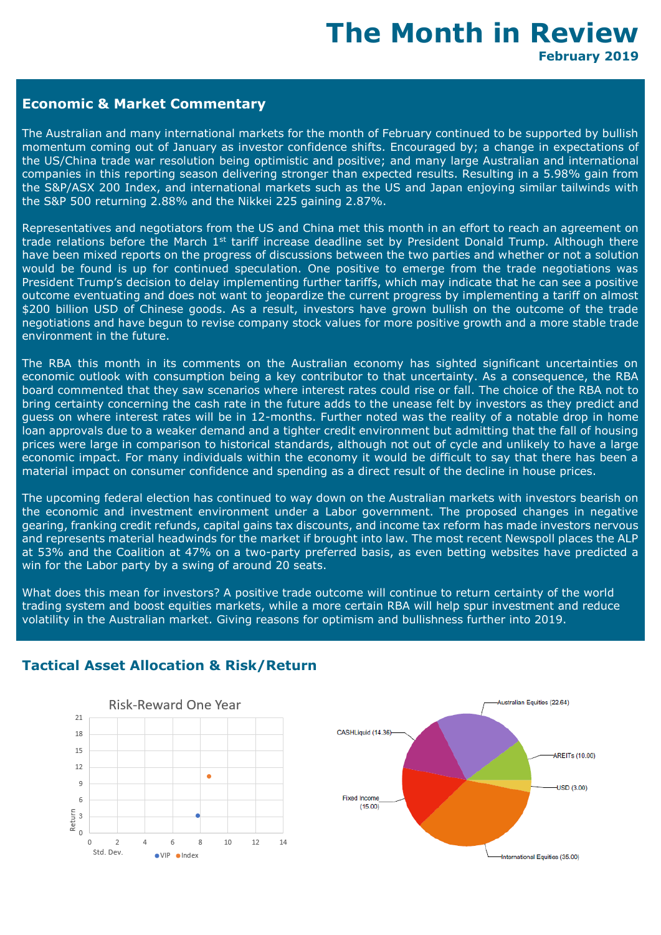# **The Month in Review February 2019**

# **Economic & Market Commentary**

The Australian and many international markets for the month of February continued to be supported by bullish momentum coming out of January as investor confidence shifts. Encouraged by; a change in expectations of the US/China trade war resolution being optimistic and positive; and many large Australian and international companies in this reporting season delivering stronger than expected results. Resulting in a 5.98% gain from the S&P/ASX 200 Index, and international markets such as the US and Japan enjoying similar tailwinds with the S&P 500 returning 2.88% and the Nikkei 225 gaining 2.87%.

Representatives and negotiators from the US and China met this month in an effort to reach an agreement on trade relations before the March 1<sup>st</sup> tariff increase deadline set by President Donald Trump. Although there have been mixed reports on the progress of discussions between the two parties and whether or not a solution would be found is up for continued speculation. One positive to emerge from the trade negotiations was President Trump's decision to delay implementing further tariffs, which may indicate that he can see a positive outcome eventuating and does not want to jeopardize the current progress by implementing a tariff on almost \$200 billion USD of Chinese goods. As a result, investors have grown bullish on the outcome of the trade negotiations and have begun to revise company stock values for more positive growth and a more stable trade environment in the future.

The RBA this month in its comments on the Australian economy has sighted significant uncertainties on economic outlook with consumption being a key contributor to that uncertainty. As a consequence, the RBA board commented that they saw scenarios where interest rates could rise or fall. The choice of the RBA not to bring certainty concerning the cash rate in the future adds to the unease felt by investors as they predict and guess on where interest rates will be in 12-months. Further noted was the reality of a notable drop in home loan approvals due to a weaker demand and a tighter credit environment but admitting that the fall of housing prices were large in comparison to historical standards, although not out of cycle and unlikely to have a large economic impact. For many individuals within the economy it would be difficult to say that there has been a material impact on consumer confidence and spending as a direct result of the decline in house prices.

The upcoming federal election has continued to way down on the Australian markets with investors bearish on the economic and investment environment under a Labor government. The proposed changes in negative gearing, franking credit refunds, capital gains tax discounts, and income tax reform has made investors nervous and represents material headwinds for the market if brought into law. The most recent Newspoll places the ALP at 53% and the Coalition at 47% on a two-party preferred basis, as even betting websites have predicted a win for the Labor party by a swing of around 20 seats.

What does this mean for investors? A positive trade outcome will continue to return certainty of the world trading system and boost equities markets, while a more certain RBA will help spur investment and reduce volatility in the Australian market. Giving reasons for optimism and bullishness further into 2019.





# **Tactical Asset Allocation & Risk/Return**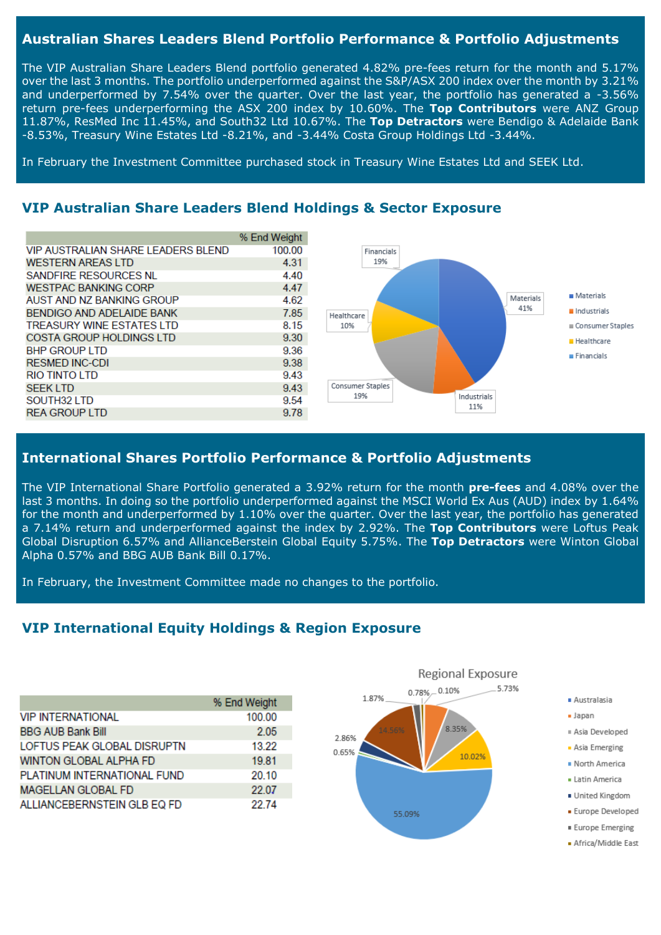# **Australian Shares Leaders Blend Portfolio Performance & Portfolio Adjustments**

The VIP Australian Share Leaders Blend portfolio generated 4.82% pre-fees return for the month and 5.17% over the last 3 months. The portfolio underperformed against the S&P/ASX 200 index over the month by 3.21% and underperformed by 7.54% over the quarter. Over the last year, the portfolio has generated a -3.56% return pre-fees underperforming the ASX 200 index by 10.60%. The **Top Contributors** were ANZ Group 11.87%, ResMed Inc 11.45%, and South32 Ltd 10.67%. The **Top Detractors** were Bendigo & Adelaide Bank -8.53%, Treasury Wine Estates Ltd -8.21%, and -3.44% Costa Group Holdings Ltd -3.44%.

In February the Investment Committee purchased stock in Treasury Wine Estates Ltd and SEEK Ltd.

#### **VIP Australian Share Leaders Blend Holdings & Sector Exposure**

|                                    | % End Weight |
|------------------------------------|--------------|
| VIP AUSTRALIAN SHARE LEADERS BLEND | 100.00       |
| <b>WESTERN AREAS LTD</b>           | 4.31         |
| SANDFIRE RESOURCES NL              | 4.40         |
| <b>WESTPAC BANKING CORP</b>        | 4.47         |
| AUST AND NZ BANKING GROUP          | 4.62         |
| BENDIGO AND ADELAIDE BANK          | 7.85         |
| <b>TREASURY WINE ESTATES LTD</b>   | 8.15         |
| COSTA GROUP HOLDINGS LTD           | 9.30         |
| <b>BHP GROUP LTD</b>               | 9.36         |
| <b>RESMED INC-CDI</b>              | 9.38         |
| RIO TINTO LTD                      | 9.43         |
| <b>SEEK LTD</b>                    | 9.43         |
| SOUTH32 LTD                        | 9.54         |
| <b>REA GROUP LTD</b>               | 9.78         |



# **International Shares Portfolio Performance & Portfolio Adjustments**

The VIP International Share Portfolio generated a 3.92% return for the month **pre-fees** and 4.08% over the last 3 months. In doing so the portfolio underperformed against the MSCI World Ex Aus (AUD) index by 1.64% for the month and underperformed by 1.10% over the quarter. Over the last year, the portfolio has generated a 7.14% return and underperformed against the index by 2.92%. The **Top Contributors** were Loftus Peak Global Disruption 6.57% and AllianceBerstein Global Equity 5.75%. The **Top Detractors** were Winton Global Alpha 0.57% and BBG AUB Bank Bill 0.17%.

In February, the Investment Committee made no changes to the portfolio.

# **VIP International Equity Holdings & Region Exposure**

|                             | % End Weight |
|-----------------------------|--------------|
| <b>VIP INTERNATIONAL</b>    | 100.00       |
| <b>BBG AUB Bank Bill</b>    | 2.05         |
| LOFTUS PEAK GLOBAL DISRUPTN | 13.22        |
| WINTON GLOBAL ALPHA FD      | 19.81        |
| PLATINUM INTERNATIONAL FUND | 20.10        |
| <b>MAGELLAN GLOBAL FD</b>   | 22.07        |
| ALLIANCEBERNSTEIN GLB EQ FD | 22.74        |